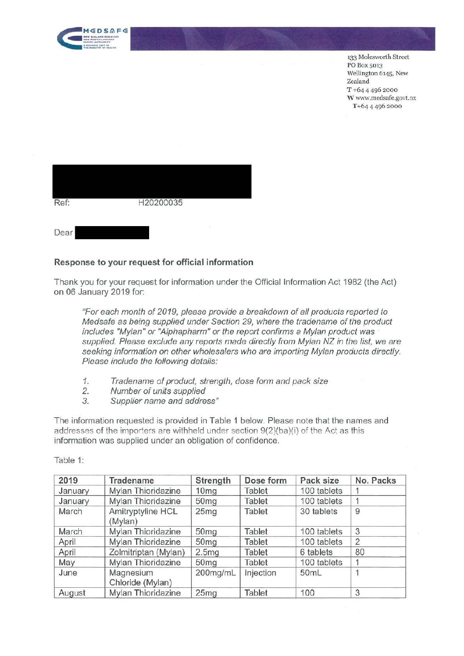

133 Molesworth Street PO Box 5013 Wellington 6145, New Zealand T +64 4 496 2000 **W** www.medsafe.govt.nz T+64 4 496 2000

| Ref: | H20200035 |  |
|------|-----------|--|
| Dear |           |  |

## **Response to your request for official information**

Thank you for your request for information under the Official Information Act 1982 (the Act) on 06 January 2019 for:

"For each month of 2019, please provide a breakdown of all products reported to Medsafe as being supplied under Section 29, where the tradename of the product includes "Mylan" or "Alphapharm" or the report confirms a Mylan product was supplied. Please exclude any reports made directly from Mylan NZ in the list, we are seeking information on other wholesalers who are importing Mylan products directly. Please include the following details:

- 1. Tradename of product, strength, dose form and pack size
- 2. Number of units supplied
- 3. Supplier name and address"

The information requested is provided in Table 1 below. Please note that the names and addresses of the importers are withheld under section 9(2)(ba)(i) of the Act as this information was supplied under an obligation of confidence.

Table 1:

| 2019    | Tradename                     | Strength         | Dose form     | Pack size   | No. Packs      |
|---------|-------------------------------|------------------|---------------|-------------|----------------|
| January | Mylan Thioridazine            | 10 <sub>mg</sub> | Tablet        | 100 tablets |                |
| January | Mylan Thioridazine            | 50 <sub>mg</sub> | Tablet        | 100 tablets |                |
| March   | Amitryptyline HCL<br>(Mylan)  | 25mg             | <b>Tablet</b> | 30 tablets  | 9              |
| March   | Mylan Thioridazine            | 50 <sub>mg</sub> | <b>Tablet</b> | 100 tablets | 3              |
| April   | Mylan Thioridazine            | 50 <sub>mg</sub> | Tablet        | 100 tablets | $\overline{2}$ |
| April   | Zolmitriptan (Mylan)          | 2.5mg            | Tablet        | 6 tablets   | 80             |
| May     | Mylan Thioridazine            | 50 <sub>mg</sub> | Tablet        | 100 tablets |                |
| June    | Magnesium<br>Chloride (Mylan) | 200mg/mL         | Injection     | 50mL        |                |
| August  | Mylan Thioridazine            | 25mg             | <b>Tablet</b> | 100         | 3              |